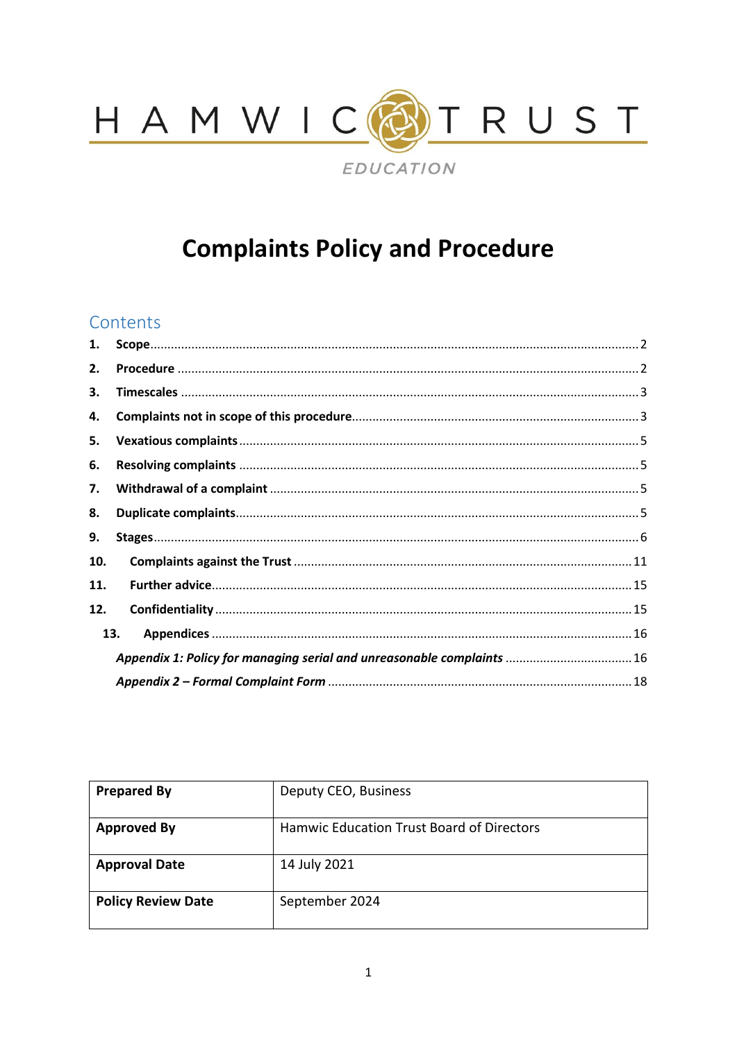

# **Complaints Policy and Procedure**

# Contents

| 1.                                                                     |  |  |  |
|------------------------------------------------------------------------|--|--|--|
| 2.                                                                     |  |  |  |
| З.                                                                     |  |  |  |
| 4.                                                                     |  |  |  |
| 5.                                                                     |  |  |  |
| 6.                                                                     |  |  |  |
| 7.                                                                     |  |  |  |
| 8.                                                                     |  |  |  |
| 9.                                                                     |  |  |  |
| 10.                                                                    |  |  |  |
| 11.                                                                    |  |  |  |
| 12.                                                                    |  |  |  |
| 13.                                                                    |  |  |  |
| Appendix 1: Policy for managing serial and unreasonable complaints  16 |  |  |  |
|                                                                        |  |  |  |

| <b>Prepared By</b>        | Deputy CEO, Business                      |
|---------------------------|-------------------------------------------|
| <b>Approved By</b>        | Hamwic Education Trust Board of Directors |
| <b>Approval Date</b>      | 14 July 2021                              |
| <b>Policy Review Date</b> | September 2024                            |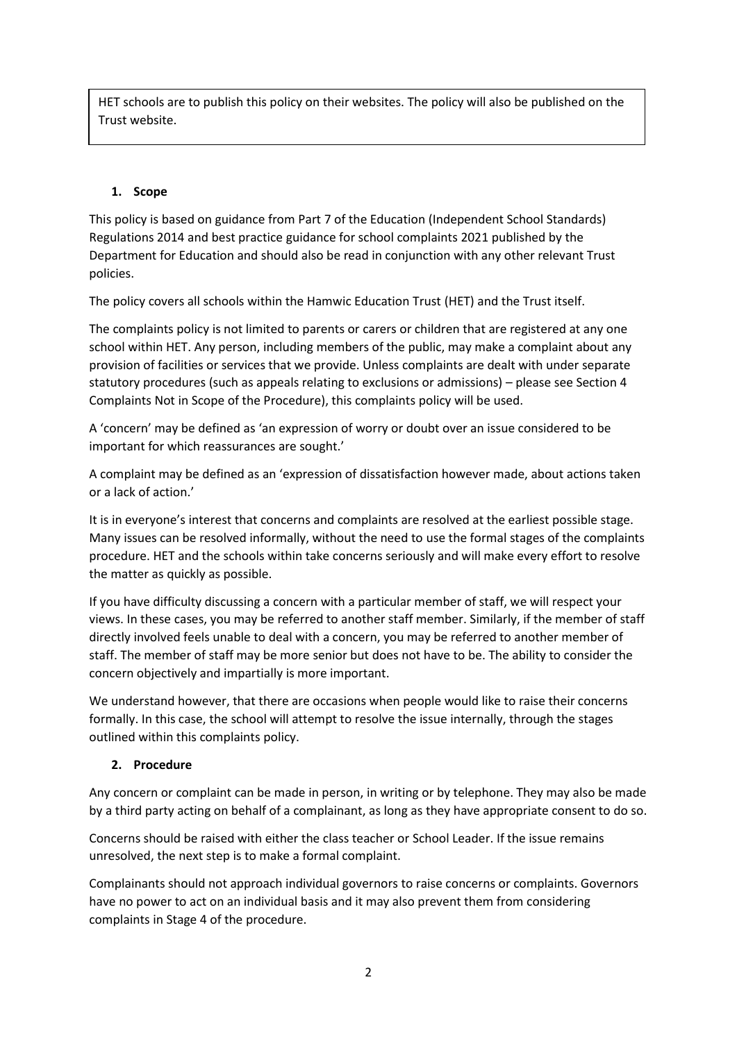HET schools are to publish this policy on their websites. The policy will also be published on the Trust website.

# <span id="page-1-0"></span>**1. Scope**

This policy is based on guidance from Part 7 of the Education (Independent School Standards) Regulations 2014 and best practice guidance for school complaints 2021 published by the Department for Education and should also be read in conjunction with any other relevant Trust policies.

The policy covers all schools within the Hamwic Education Trust (HET) and the Trust itself.

The complaints policy is not limited to parents or carers or children that are registered at any one school within HET. Any person, including members of the public, may make a complaint about any provision of facilities or services that we provide. Unless complaints are dealt with under separate statutory procedures (such as appeals relating to exclusions or admissions) – please see Section 4 Complaints Not in Scope of the Procedure), this complaints policy will be used.

A 'concern' may be defined as 'an expression of worry or doubt over an issue considered to be important for which reassurances are sought.'

A complaint may be defined as an 'expression of dissatisfaction however made, about actions taken or a lack of action.'

It is in everyone's interest that concerns and complaints are resolved at the earliest possible stage. Many issues can be resolved informally, without the need to use the formal stages of the complaints procedure. HET and the schools within take concerns seriously and will make every effort to resolve the matter as quickly as possible.

If you have difficulty discussing a concern with a particular member of staff, we will respect your views. In these cases, you may be referred to another staff member. Similarly, if the member of staff directly involved feels unable to deal with a concern, you may be referred to another member of staff. The member of staff may be more senior but does not have to be. The ability to consider the concern objectively and impartially is more important.

We understand however, that there are occasions when people would like to raise their concerns formally. In this case, the school will attempt to resolve the issue internally, through the stages outlined within this complaints policy.

# <span id="page-1-1"></span>**2. Procedure**

Any concern or complaint can be made in person, in writing or by telephone. They may also be made by a third party acting on behalf of a complainant, as long as they have appropriate consent to do so.

Concerns should be raised with either the class teacher or School Leader. If the issue remains unresolved, the next step is to make a formal complaint.

Complainants should not approach individual governors to raise concerns or complaints. Governors have no power to act on an individual basis and it may also prevent them from considering complaints in Stage 4 of the procedure.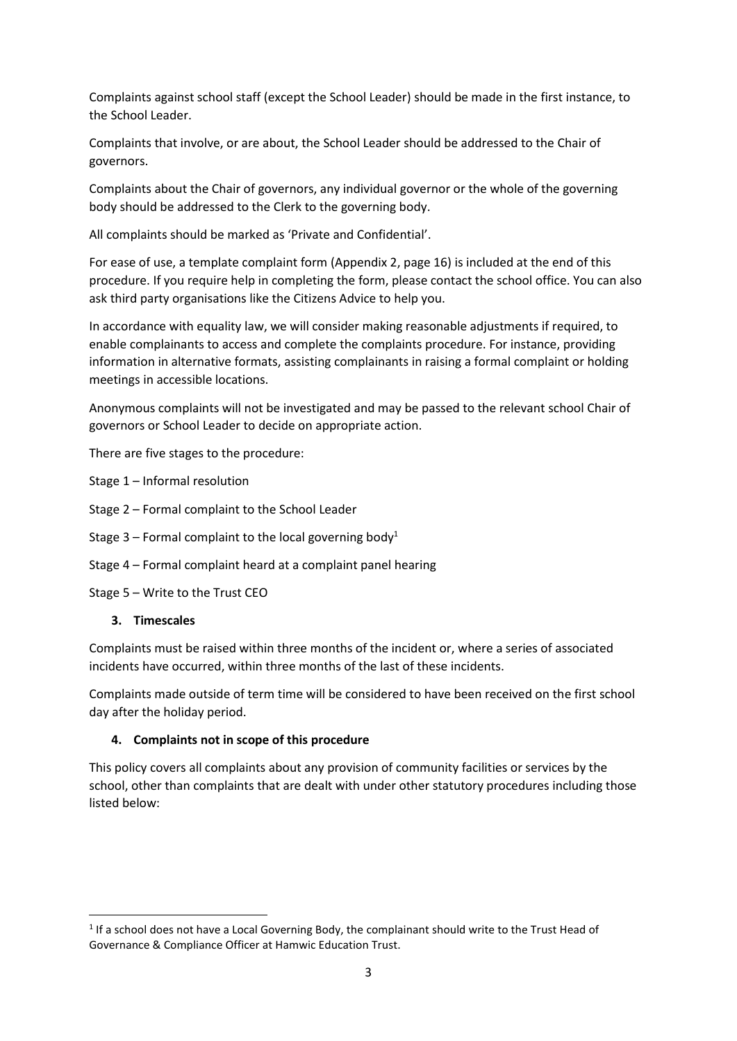Complaints against school staff (except the School Leader) should be made in the first instance, to the School Leader.

Complaints that involve, or are about, the School Leader should be addressed to the Chair of governors.

Complaints about the Chair of governors, any individual governor or the whole of the governing body should be addressed to the Clerk to the governing body.

All complaints should be marked as 'Private and Confidential'.

For ease of use, a template complaint form (Appendix 2, page 16) is included at the end of this procedure. If you require help in completing the form, please contact the school office. You can also ask third party organisations like the Citizens Advice to help you.

In accordance with equality law, we will consider making reasonable adjustments if required, to enable complainants to access and complete the complaints procedure. For instance, providing information in alternative formats, assisting complainants in raising a formal complaint or holding meetings in accessible locations.

Anonymous complaints will not be investigated and may be passed to the relevant school Chair of governors or School Leader to decide on appropriate action.

There are five stages to the procedure:

Stage 1 – Informal resolution

- Stage 2 Formal complaint to the School Leader
- Stage 3 Formal complaint to the local governing body<sup>1</sup>
- Stage 4 Formal complaint heard at a complaint panel hearing
- Stage 5 Write to the Trust CEO

## <span id="page-2-0"></span>**3. Timescales**

Complaints must be raised within three months of the incident or, where a series of associated incidents have occurred, within three months of the last of these incidents.

Complaints made outside of term time will be considered to have been received on the first school day after the holiday period.

## <span id="page-2-1"></span>**4. Complaints not in scope of this procedure**

This policy covers all complaints about any provision of community facilities or services by the school, other than complaints that are dealt with under other statutory procedures including those listed below:

 $<sup>1</sup>$  If a school does not have a Local Governing Body, the complainant should write to the Trust Head of</sup> Governance & Compliance Officer at Hamwic Education Trust.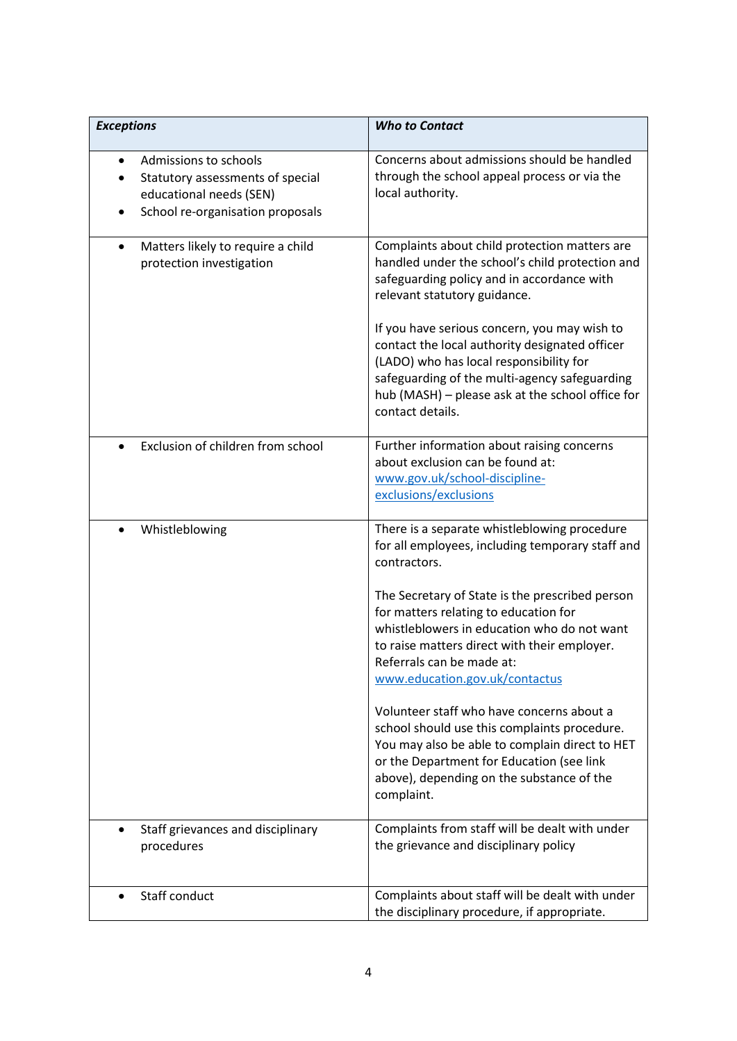| <b>Exceptions</b>                                                                                                                     | <b>Who to Contact</b>                                                                                                                                                                                                                                                            |
|---------------------------------------------------------------------------------------------------------------------------------------|----------------------------------------------------------------------------------------------------------------------------------------------------------------------------------------------------------------------------------------------------------------------------------|
| Admissions to schools<br>$\bullet$<br>Statutory assessments of special<br>educational needs (SEN)<br>School re-organisation proposals | Concerns about admissions should be handled<br>through the school appeal process or via the<br>local authority.                                                                                                                                                                  |
| Matters likely to require a child<br>$\bullet$<br>protection investigation                                                            | Complaints about child protection matters are<br>handled under the school's child protection and<br>safeguarding policy and in accordance with<br>relevant statutory guidance.<br>If you have serious concern, you may wish to<br>contact the local authority designated officer |
|                                                                                                                                       | (LADO) who has local responsibility for<br>safeguarding of the multi-agency safeguarding<br>hub (MASH) - please ask at the school office for<br>contact details.                                                                                                                 |
| Exclusion of children from school<br>$\bullet$                                                                                        | Further information about raising concerns<br>about exclusion can be found at:<br>www.gov.uk/school-discipline-<br>exclusions/exclusions                                                                                                                                         |
| Whistleblowing<br>$\bullet$                                                                                                           | There is a separate whistleblowing procedure<br>for all employees, including temporary staff and<br>contractors.                                                                                                                                                                 |
|                                                                                                                                       | The Secretary of State is the prescribed person<br>for matters relating to education for<br>whistleblowers in education who do not want<br>to raise matters direct with their employer.<br>Referrals can be made at:<br>www.education.gov.uk/contactus                           |
|                                                                                                                                       | Volunteer staff who have concerns about a<br>school should use this complaints procedure.<br>You may also be able to complain direct to HET<br>or the Department for Education (see link<br>above), depending on the substance of the<br>complaint.                              |
| Staff grievances and disciplinary<br>procedures                                                                                       | Complaints from staff will be dealt with under<br>the grievance and disciplinary policy                                                                                                                                                                                          |
| Staff conduct                                                                                                                         | Complaints about staff will be dealt with under<br>the disciplinary procedure, if appropriate.                                                                                                                                                                                   |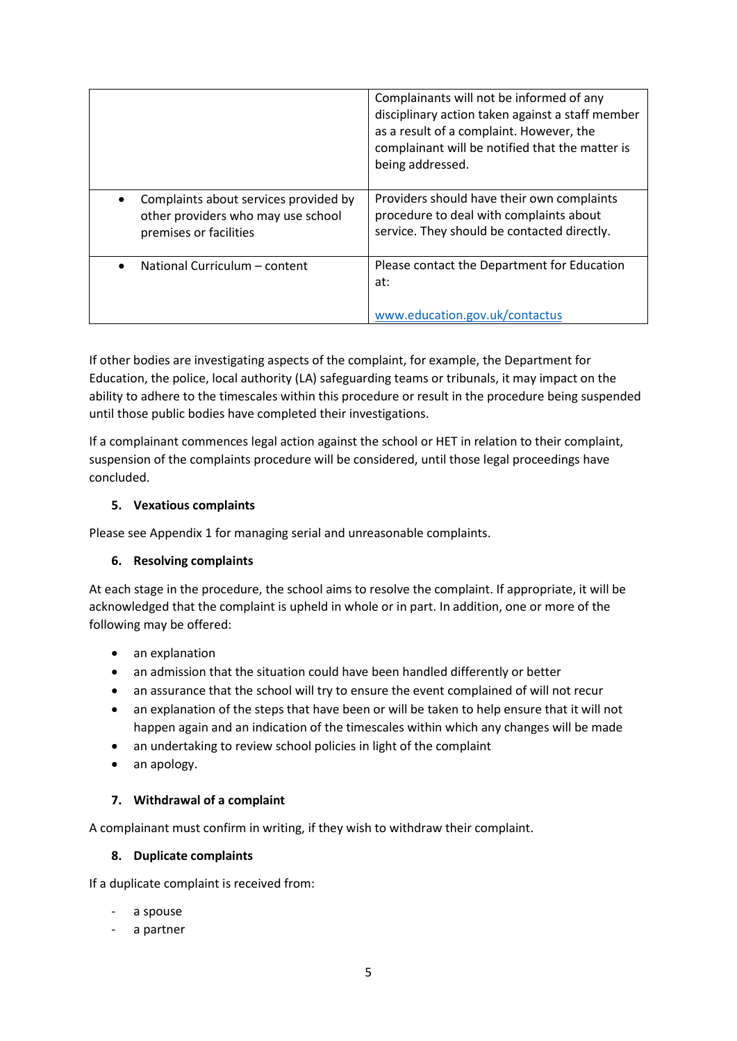|                                                                                                       | Complainants will not be informed of any<br>disciplinary action taken against a staff member<br>as a result of a complaint. However, the<br>complainant will be notified that the matter is<br>being addressed. |
|-------------------------------------------------------------------------------------------------------|-----------------------------------------------------------------------------------------------------------------------------------------------------------------------------------------------------------------|
| Complaints about services provided by<br>other providers who may use school<br>premises or facilities | Providers should have their own complaints<br>procedure to deal with complaints about<br>service. They should be contacted directly.                                                                            |
| National Curriculum - content<br>$\bullet$                                                            | Please contact the Department for Education<br>at:<br>www.education.gov.uk/contactus                                                                                                                            |

If other bodies are investigating aspects of the complaint, for example, the Department for Education, the police, local authority (LA) safeguarding teams or tribunals, it may impact on the ability to adhere to the timescales within this procedure or result in the procedure being suspended until those public bodies have completed their investigations.

If a complainant commences legal action against the school or HET in relation to their complaint, suspension of the complaints procedure will be considered, until those legal proceedings have concluded.

# <span id="page-4-0"></span>**5. Vexatious complaints**

Please see Appendix 1 for managing serial and unreasonable complaints.

## <span id="page-4-1"></span>**6. Resolving complaints**

At each stage in the procedure, the school aims to resolve the complaint. If appropriate, it will be acknowledged that the complaint is upheld in whole or in part. In addition, one or more of the following may be offered:

- an explanation
- an admission that the situation could have been handled differently or better
- an assurance that the school will try to ensure the event complained of will not recur
- an explanation of the steps that have been or will be taken to help ensure that it will not happen again and an indication of the timescales within which any changes will be made
- an undertaking to review school policies in light of the complaint
- an apology.

## <span id="page-4-2"></span>**7. Withdrawal of a complaint**

A complainant must confirm in writing, if they wish to withdraw their complaint.

## <span id="page-4-3"></span>**8. Duplicate complaints**

If a duplicate complaint is received from:

- a spouse
- a partner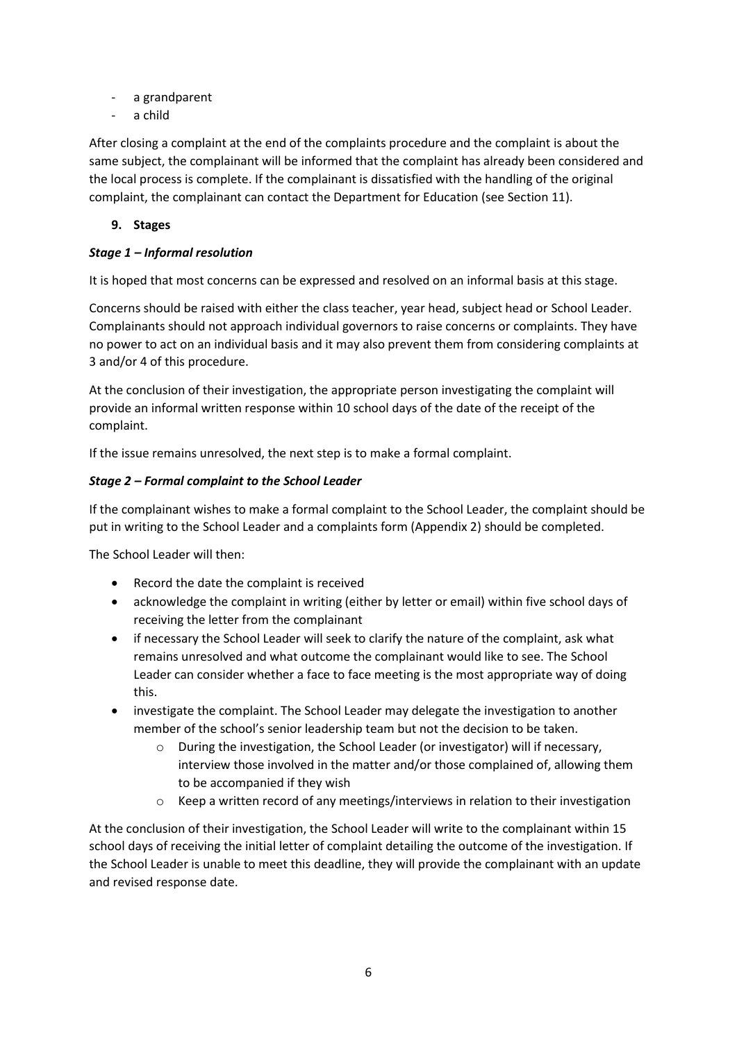- a grandparent
- a child

After closing a complaint at the end of the complaints procedure and the complaint is about the same subject, the complainant will be informed that the complaint has already been considered and the local process is complete. If the complainant is dissatisfied with the handling of the original complaint, the complainant can contact the Department for Education (see Section 11).

# <span id="page-5-0"></span>**9. Stages**

# *Stage 1 – Informal resolution*

It is hoped that most concerns can be expressed and resolved on an informal basis at this stage.

Concerns should be raised with either the class teacher, year head, subject head or School Leader. Complainants should not approach individual governors to raise concerns or complaints. They have no power to act on an individual basis and it may also prevent them from considering complaints at 3 and/or 4 of this procedure.

At the conclusion of their investigation, the appropriate person investigating the complaint will provide an informal written response within 10 school days of the date of the receipt of the complaint.

If the issue remains unresolved, the next step is to make a formal complaint.

# *Stage 2 – Formal complaint to the School Leader*

If the complainant wishes to make a formal complaint to the School Leader, the complaint should be put in writing to the School Leader and a complaints form (Appendix 2) should be completed.

The School Leader will then:

- Record the date the complaint is received
- acknowledge the complaint in writing (either by letter or email) within five school days of receiving the letter from the complainant
- if necessary the School Leader will seek to clarify the nature of the complaint, ask what remains unresolved and what outcome the complainant would like to see. The School Leader can consider whether a face to face meeting is the most appropriate way of doing this.
- investigate the complaint. The School Leader may delegate the investigation to another member of the school's senior leadership team but not the decision to be taken.
	- o During the investigation, the School Leader (or investigator) will if necessary, interview those involved in the matter and/or those complained of, allowing them to be accompanied if they wish
	- $\circ$  Keep a written record of any meetings/interviews in relation to their investigation

At the conclusion of their investigation, the School Leader will write to the complainant within 15 school days of receiving the initial letter of complaint detailing the outcome of the investigation. If the School Leader is unable to meet this deadline, they will provide the complainant with an update and revised response date.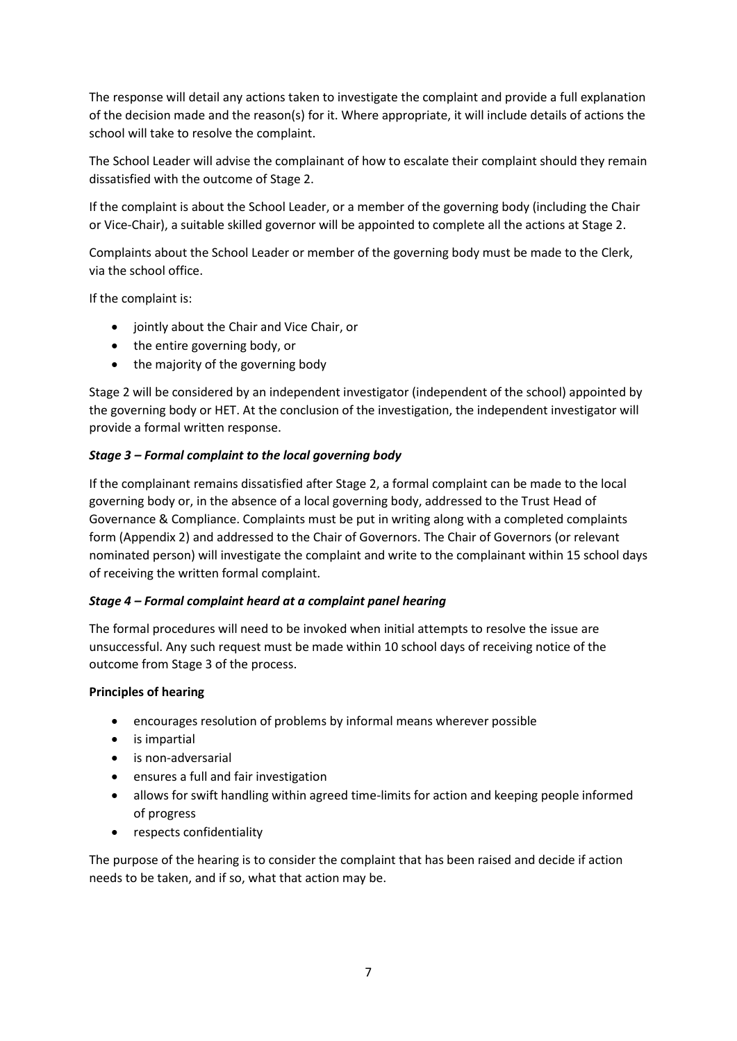The response will detail any actions taken to investigate the complaint and provide a full explanation of the decision made and the reason(s) for it. Where appropriate, it will include details of actions the school will take to resolve the complaint.

The School Leader will advise the complainant of how to escalate their complaint should they remain dissatisfied with the outcome of Stage 2.

If the complaint is about the School Leader, or a member of the governing body (including the Chair or Vice-Chair), a suitable skilled governor will be appointed to complete all the actions at Stage 2.

Complaints about the School Leader or member of the governing body must be made to the Clerk, via the school office.

If the complaint is:

- jointly about the Chair and Vice Chair, or
- the entire governing body, or
- the majority of the governing body

Stage 2 will be considered by an independent investigator (independent of the school) appointed by the governing body or HET. At the conclusion of the investigation, the independent investigator will provide a formal written response.

# *Stage 3 – Formal complaint to the local governing body*

If the complainant remains dissatisfied after Stage 2, a formal complaint can be made to the local governing body or, in the absence of a local governing body, addressed to the Trust Head of Governance & Compliance. Complaints must be put in writing along with a completed complaints form (Appendix 2) and addressed to the Chair of Governors. The Chair of Governors (or relevant nominated person) will investigate the complaint and write to the complainant within 15 school days of receiving the written formal complaint.

# *Stage 4 – Formal complaint heard at a complaint panel hearing*

The formal procedures will need to be invoked when initial attempts to resolve the issue are unsuccessful. Any such request must be made within 10 school days of receiving notice of the outcome from Stage 3 of the process.

# **Principles of hearing**

- encourages resolution of problems by informal means wherever possible
- is impartial
- is non-adversarial
- ensures a full and fair investigation
- allows for swift handling within agreed time-limits for action and keeping people informed of progress
- respects confidentiality

The purpose of the hearing is to consider the complaint that has been raised and decide if action needs to be taken, and if so, what that action may be.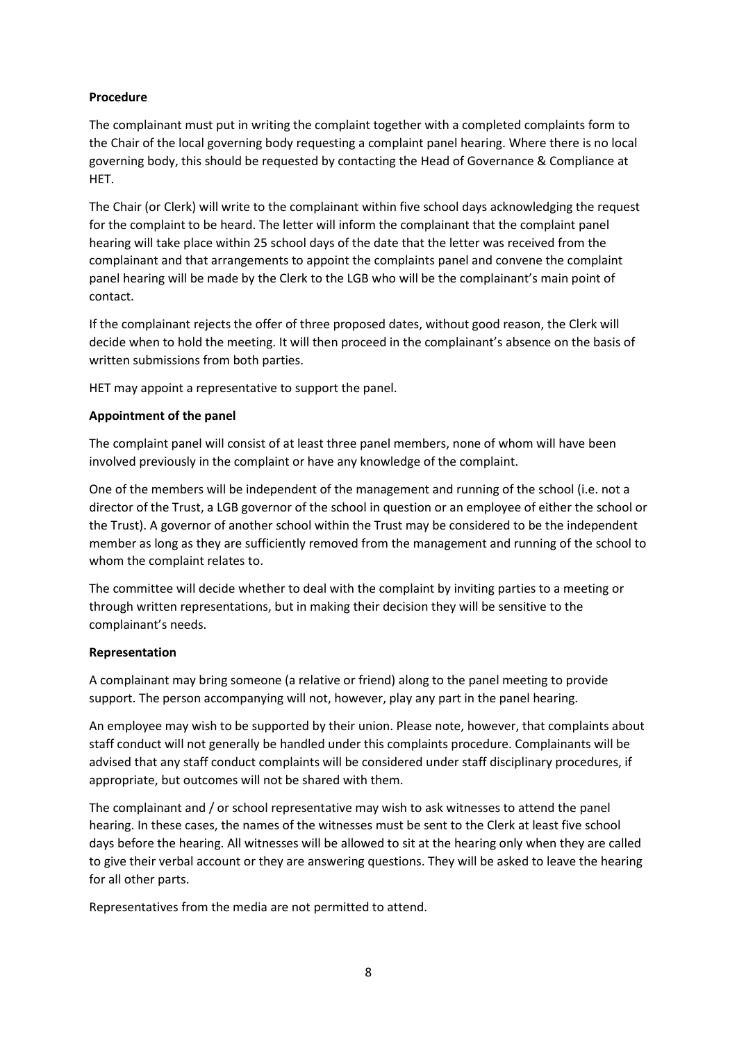# **Procedure**

The complainant must put in writing the complaint together with a completed complaints form to the Chair of the local governing body requesting a complaint panel hearing. Where there is no local governing body, this should be requested by contacting the Head of Governance & Compliance at HET.

The Chair (or Clerk) will write to the complainant within five school days acknowledging the request for the complaint to be heard. The letter will inform the complainant that the complaint panel hearing will take place within 25 school days of the date that the letter was received from the complainant and that arrangements to appoint the complaints panel and convene the complaint panel hearing will be made by the Clerk to the LGB who will be the complainant's main point of contact.

If the complainant rejects the offer of three proposed dates, without good reason, the Clerk will decide when to hold the meeting. It will then proceed in the complainant's absence on the basis of written submissions from both parties.

HET may appoint a representative to support the panel.

# **Appointment of the panel**

The complaint panel will consist of at least three panel members, none of whom will have been involved previously in the complaint or have any knowledge of the complaint.

One of the members will be independent of the management and running of the school (i.e. not a director of the Trust, a LGB governor of the school in question or an employee of either the school or the Trust). A governor of another school within the Trust may be considered to be the independent member as long as they are sufficiently removed from the management and running of the school to whom the complaint relates to.

The committee will decide whether to deal with the complaint by inviting parties to a meeting or through written representations, but in making their decision they will be sensitive to the complainant's needs.

## **Representation**

A complainant may bring someone (a relative or friend) along to the panel meeting to provide support. The person accompanying will not, however, play any part in the panel hearing.

An employee may wish to be supported by their union. Please note, however, that complaints about staff conduct will not generally be handled under this complaints procedure. Complainants will be advised that any staff conduct complaints will be considered under staff disciplinary procedures, if appropriate, but outcomes will not be shared with them.

The complainant and / or school representative may wish to ask witnesses to attend the panel hearing. In these cases, the names of the witnesses must be sent to the Clerk at least five school days before the hearing. All witnesses will be allowed to sit at the hearing only when they are called to give their verbal account or they are answering questions. They will be asked to leave the hearing for all other parts.

Representatives from the media are not permitted to attend.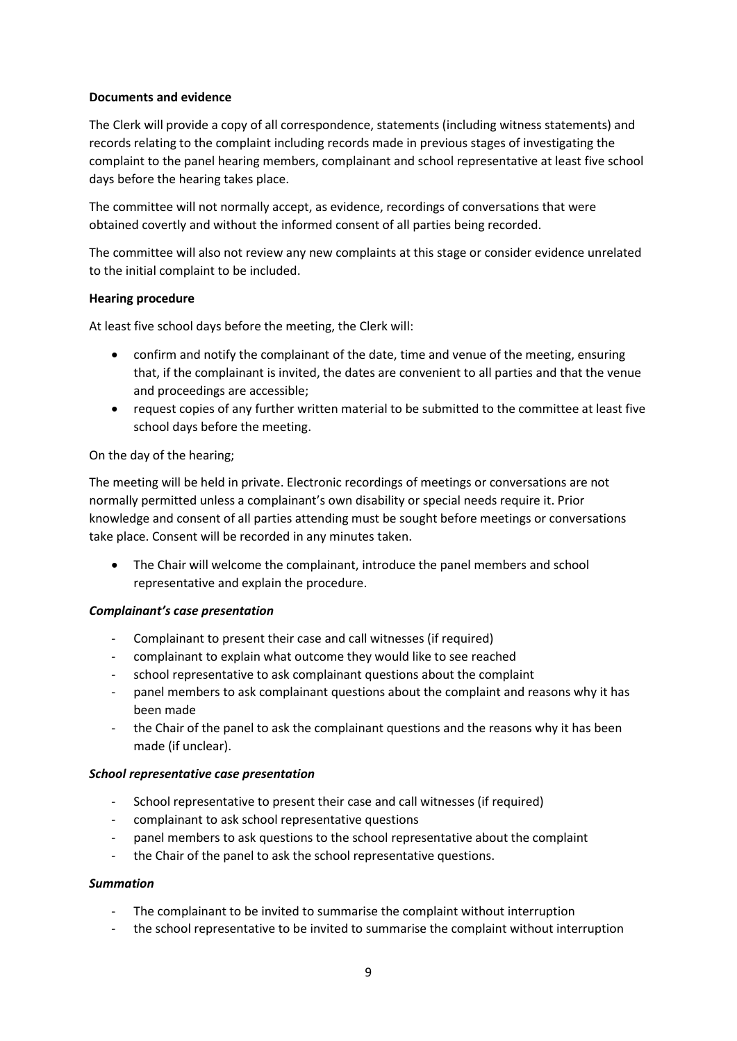## **Documents and evidence**

The Clerk will provide a copy of all correspondence, statements (including witness statements) and records relating to the complaint including records made in previous stages of investigating the complaint to the panel hearing members, complainant and school representative at least five school days before the hearing takes place.

The committee will not normally accept, as evidence, recordings of conversations that were obtained covertly and without the informed consent of all parties being recorded.

The committee will also not review any new complaints at this stage or consider evidence unrelated to the initial complaint to be included.

## **Hearing procedure**

At least five school days before the meeting, the Clerk will:

- confirm and notify the complainant of the date, time and venue of the meeting, ensuring that, if the complainant is invited, the dates are convenient to all parties and that the venue and proceedings are accessible;
- request copies of any further written material to be submitted to the committee at least five school days before the meeting.

## On the day of the hearing;

The meeting will be held in private. Electronic recordings of meetings or conversations are not normally permitted unless a complainant's own disability or special needs require it. Prior knowledge and consent of all parties attending must be sought before meetings or conversations take place. Consent will be recorded in any minutes taken.

• The Chair will welcome the complainant, introduce the panel members and school representative and explain the procedure.

## *Complainant's case presentation*

- Complainant to present their case and call witnesses (if required)
- complainant to explain what outcome they would like to see reached
- school representative to ask complainant questions about the complaint
- panel members to ask complainant questions about the complaint and reasons why it has been made
- the Chair of the panel to ask the complainant questions and the reasons why it has been made (if unclear).

## *School representative case presentation*

- School representative to present their case and call witnesses (if required)
- complainant to ask school representative questions
- panel members to ask questions to the school representative about the complaint
- the Chair of the panel to ask the school representative questions.

## *Summation*

- The complainant to be invited to summarise the complaint without interruption
- the school representative to be invited to summarise the complaint without interruption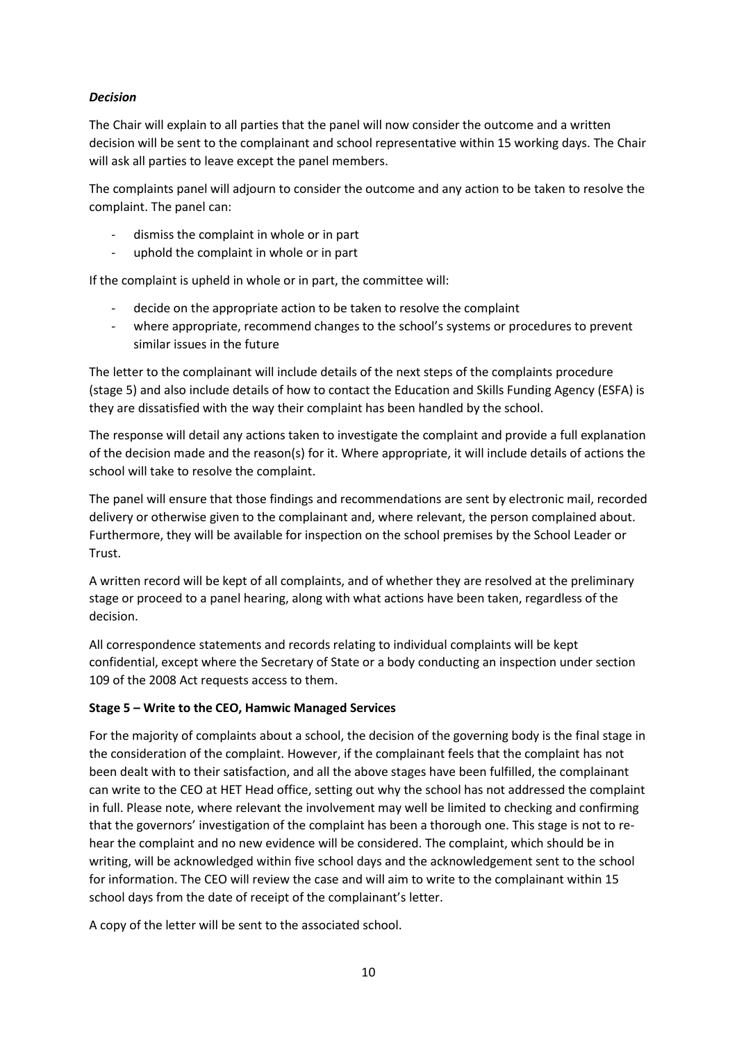# *Decision*

The Chair will explain to all parties that the panel will now consider the outcome and a written decision will be sent to the complainant and school representative within 15 working days. The Chair will ask all parties to leave except the panel members.

The complaints panel will adjourn to consider the outcome and any action to be taken to resolve the complaint. The panel can:

- dismiss the complaint in whole or in part
- uphold the complaint in whole or in part

If the complaint is upheld in whole or in part, the committee will:

- decide on the appropriate action to be taken to resolve the complaint
- where appropriate, recommend changes to the school's systems or procedures to prevent similar issues in the future

The letter to the complainant will include details of the next steps of the complaints procedure (stage 5) and also include details of how to contact the Education and Skills Funding Agency (ESFA) is they are dissatisfied with the way their complaint has been handled by the school.

The response will detail any actions taken to investigate the complaint and provide a full explanation of the decision made and the reason(s) for it. Where appropriate, it will include details of actions the school will take to resolve the complaint.

The panel will ensure that those findings and recommendations are sent by electronic mail, recorded delivery or otherwise given to the complainant and, where relevant, the person complained about. Furthermore, they will be available for inspection on the school premises by the School Leader or **Trust** 

A written record will be kept of all complaints, and of whether they are resolved at the preliminary stage or proceed to a panel hearing, along with what actions have been taken, regardless of the decision.

All correspondence statements and records relating to individual complaints will be kept confidential, except where the Secretary of State or a body conducting an inspection under section 109 of the 2008 Act requests access to them.

# **Stage 5 – Write to the CEO, Hamwic Managed Services**

For the majority of complaints about a school, the decision of the governing body is the final stage in the consideration of the complaint. However, if the complainant feels that the complaint has not been dealt with to their satisfaction, and all the above stages have been fulfilled, the complainant can write to the CEO at HET Head office, setting out why the school has not addressed the complaint in full. Please note, where relevant the involvement may well be limited to checking and confirming that the governors' investigation of the complaint has been a thorough one. This stage is not to rehear the complaint and no new evidence will be considered. The complaint, which should be in writing, will be acknowledged within five school days and the acknowledgement sent to the school for information. The CEO will review the case and will aim to write to the complainant within 15 school days from the date of receipt of the complainant's letter.

A copy of the letter will be sent to the associated school.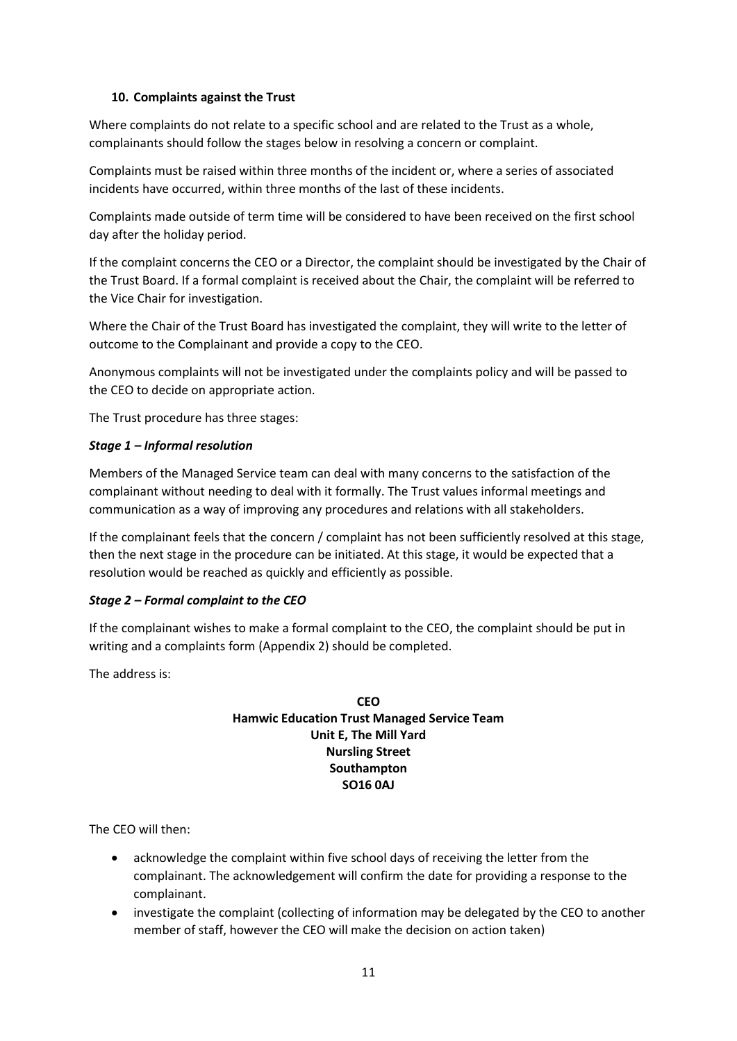# <span id="page-10-0"></span>**10. Complaints against the Trust**

Where complaints do not relate to a specific school and are related to the Trust as a whole, complainants should follow the stages below in resolving a concern or complaint.

Complaints must be raised within three months of the incident or, where a series of associated incidents have occurred, within three months of the last of these incidents.

Complaints made outside of term time will be considered to have been received on the first school day after the holiday period.

If the complaint concerns the CEO or a Director, the complaint should be investigated by the Chair of the Trust Board. If a formal complaint is received about the Chair, the complaint will be referred to the Vice Chair for investigation.

Where the Chair of the Trust Board has investigated the complaint, they will write to the letter of outcome to the Complainant and provide a copy to the CEO.

Anonymous complaints will not be investigated under the complaints policy and will be passed to the CEO to decide on appropriate action.

The Trust procedure has three stages:

## *Stage 1 – Informal resolution*

Members of the Managed Service team can deal with many concerns to the satisfaction of the complainant without needing to deal with it formally. The Trust values informal meetings and communication as a way of improving any procedures and relations with all stakeholders.

If the complainant feels that the concern / complaint has not been sufficiently resolved at this stage, then the next stage in the procedure can be initiated. At this stage, it would be expected that a resolution would be reached as quickly and efficiently as possible.

# *Stage 2 – Formal complaint to the CEO*

If the complainant wishes to make a formal complaint to the CEO, the complaint should be put in writing and a complaints form (Appendix 2) should be completed.

The address is:

# **CEO Hamwic Education Trust Managed Service Team Unit E, The Mill Yard Nursling Street Southampton SO16 0AJ**

The CEO will then:

- acknowledge the complaint within five school days of receiving the letter from the complainant. The acknowledgement will confirm the date for providing a response to the complainant.
- investigate the complaint (collecting of information may be delegated by the CEO to another member of staff, however the CEO will make the decision on action taken)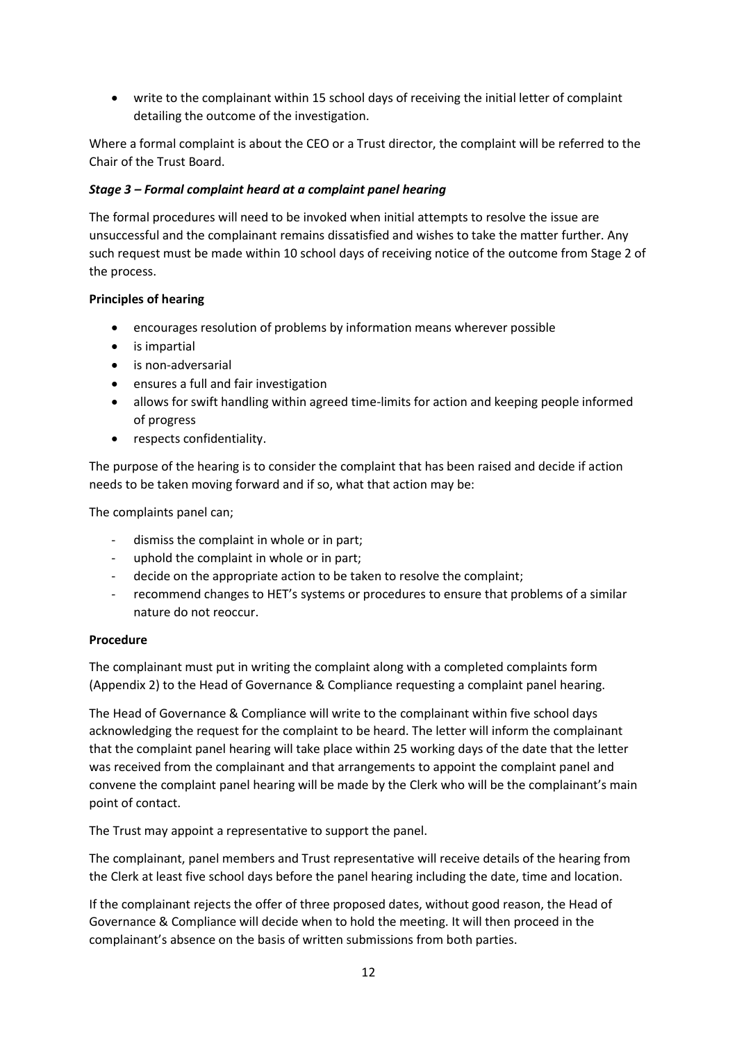• write to the complainant within 15 school days of receiving the initial letter of complaint detailing the outcome of the investigation.

Where a formal complaint is about the CEO or a Trust director, the complaint will be referred to the Chair of the Trust Board.

# *Stage 3 – Formal complaint heard at a complaint panel hearing*

The formal procedures will need to be invoked when initial attempts to resolve the issue are unsuccessful and the complainant remains dissatisfied and wishes to take the matter further. Any such request must be made within 10 school days of receiving notice of the outcome from Stage 2 of the process.

# **Principles of hearing**

- encourages resolution of problems by information means wherever possible
- is impartial
- is non-adversarial
- ensures a full and fair investigation
- allows for swift handling within agreed time-limits for action and keeping people informed of progress
- respects confidentiality.

The purpose of the hearing is to consider the complaint that has been raised and decide if action needs to be taken moving forward and if so, what that action may be:

The complaints panel can;

- dismiss the complaint in whole or in part;
- uphold the complaint in whole or in part;
- decide on the appropriate action to be taken to resolve the complaint;
- recommend changes to HET's systems or procedures to ensure that problems of a similar nature do not reoccur.

## **Procedure**

The complainant must put in writing the complaint along with a completed complaints form (Appendix 2) to the Head of Governance & Compliance requesting a complaint panel hearing.

The Head of Governance & Compliance will write to the complainant within five school days acknowledging the request for the complaint to be heard. The letter will inform the complainant that the complaint panel hearing will take place within 25 working days of the date that the letter was received from the complainant and that arrangements to appoint the complaint panel and convene the complaint panel hearing will be made by the Clerk who will be the complainant's main point of contact.

The Trust may appoint a representative to support the panel.

The complainant, panel members and Trust representative will receive details of the hearing from the Clerk at least five school days before the panel hearing including the date, time and location.

If the complainant rejects the offer of three proposed dates, without good reason, the Head of Governance & Compliance will decide when to hold the meeting. It will then proceed in the complainant's absence on the basis of written submissions from both parties.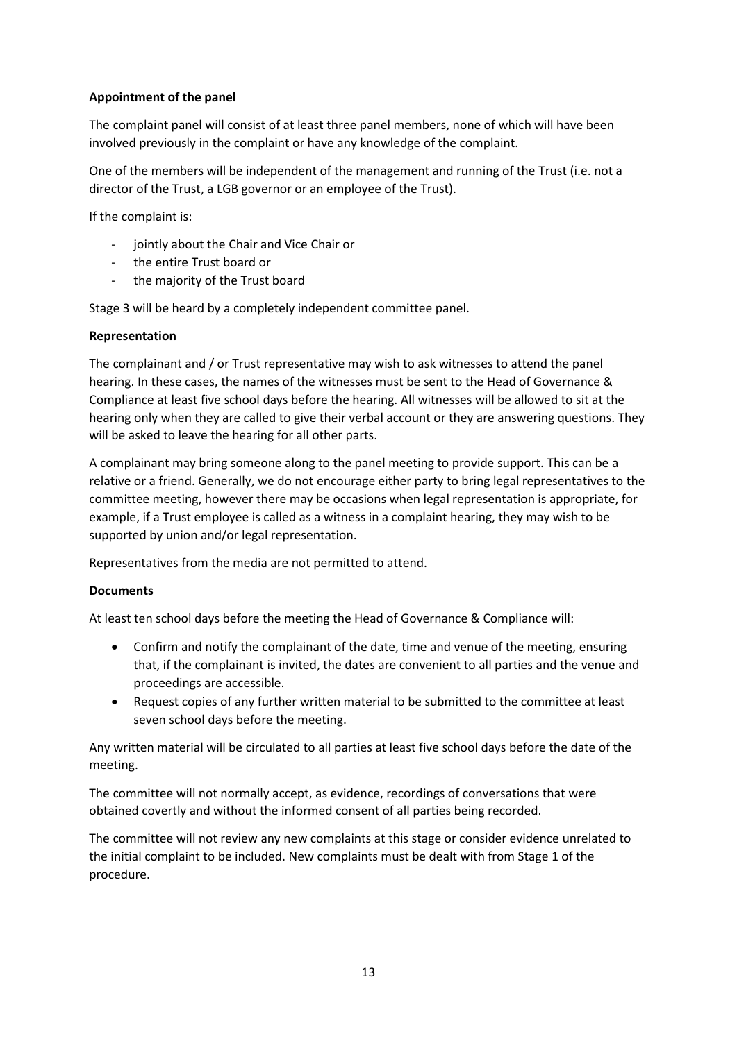# **Appointment of the panel**

The complaint panel will consist of at least three panel members, none of which will have been involved previously in the complaint or have any knowledge of the complaint.

One of the members will be independent of the management and running of the Trust (i.e. not a director of the Trust, a LGB governor or an employee of the Trust).

If the complaint is:

- jointly about the Chair and Vice Chair or
- the entire Trust board or
- the majority of the Trust board

Stage 3 will be heard by a completely independent committee panel.

## **Representation**

The complainant and / or Trust representative may wish to ask witnesses to attend the panel hearing. In these cases, the names of the witnesses must be sent to the Head of Governance & Compliance at least five school days before the hearing. All witnesses will be allowed to sit at the hearing only when they are called to give their verbal account or they are answering questions. They will be asked to leave the hearing for all other parts.

A complainant may bring someone along to the panel meeting to provide support. This can be a relative or a friend. Generally, we do not encourage either party to bring legal representatives to the committee meeting, however there may be occasions when legal representation is appropriate, for example, if a Trust employee is called as a witness in a complaint hearing, they may wish to be supported by union and/or legal representation.

Representatives from the media are not permitted to attend.

## **Documents**

At least ten school days before the meeting the Head of Governance & Compliance will:

- Confirm and notify the complainant of the date, time and venue of the meeting, ensuring that, if the complainant is invited, the dates are convenient to all parties and the venue and proceedings are accessible.
- Request copies of any further written material to be submitted to the committee at least seven school days before the meeting.

Any written material will be circulated to all parties at least five school days before the date of the meeting.

The committee will not normally accept, as evidence, recordings of conversations that were obtained covertly and without the informed consent of all parties being recorded.

The committee will not review any new complaints at this stage or consider evidence unrelated to the initial complaint to be included. New complaints must be dealt with from Stage 1 of the procedure.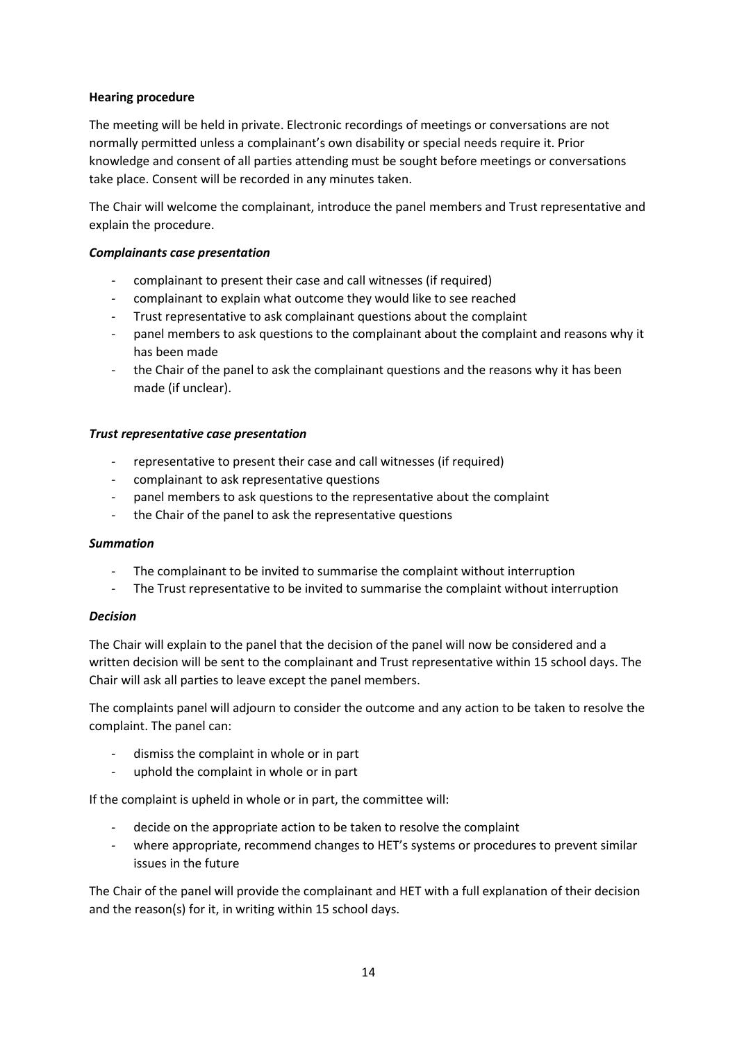# **Hearing procedure**

The meeting will be held in private. Electronic recordings of meetings or conversations are not normally permitted unless a complainant's own disability or special needs require it. Prior knowledge and consent of all parties attending must be sought before meetings or conversations take place. Consent will be recorded in any minutes taken.

The Chair will welcome the complainant, introduce the panel members and Trust representative and explain the procedure.

## *Complainants case presentation*

- complainant to present their case and call witnesses (if required)
- complainant to explain what outcome they would like to see reached
- Trust representative to ask complainant questions about the complaint
- panel members to ask questions to the complainant about the complaint and reasons why it has been made
- the Chair of the panel to ask the complainant questions and the reasons why it has been made (if unclear).

## *Trust representative case presentation*

- representative to present their case and call witnesses (if required)
- complainant to ask representative questions
- panel members to ask questions to the representative about the complaint
- the Chair of the panel to ask the representative questions

## *Summation*

- The complainant to be invited to summarise the complaint without interruption
- The Trust representative to be invited to summarise the complaint without interruption

## *Decision*

The Chair will explain to the panel that the decision of the panel will now be considered and a written decision will be sent to the complainant and Trust representative within 15 school days. The Chair will ask all parties to leave except the panel members.

The complaints panel will adjourn to consider the outcome and any action to be taken to resolve the complaint. The panel can:

- dismiss the complaint in whole or in part
- uphold the complaint in whole or in part

If the complaint is upheld in whole or in part, the committee will:

- decide on the appropriate action to be taken to resolve the complaint
- where appropriate, recommend changes to HET's systems or procedures to prevent similar issues in the future

The Chair of the panel will provide the complainant and HET with a full explanation of their decision and the reason(s) for it, in writing within 15 school days.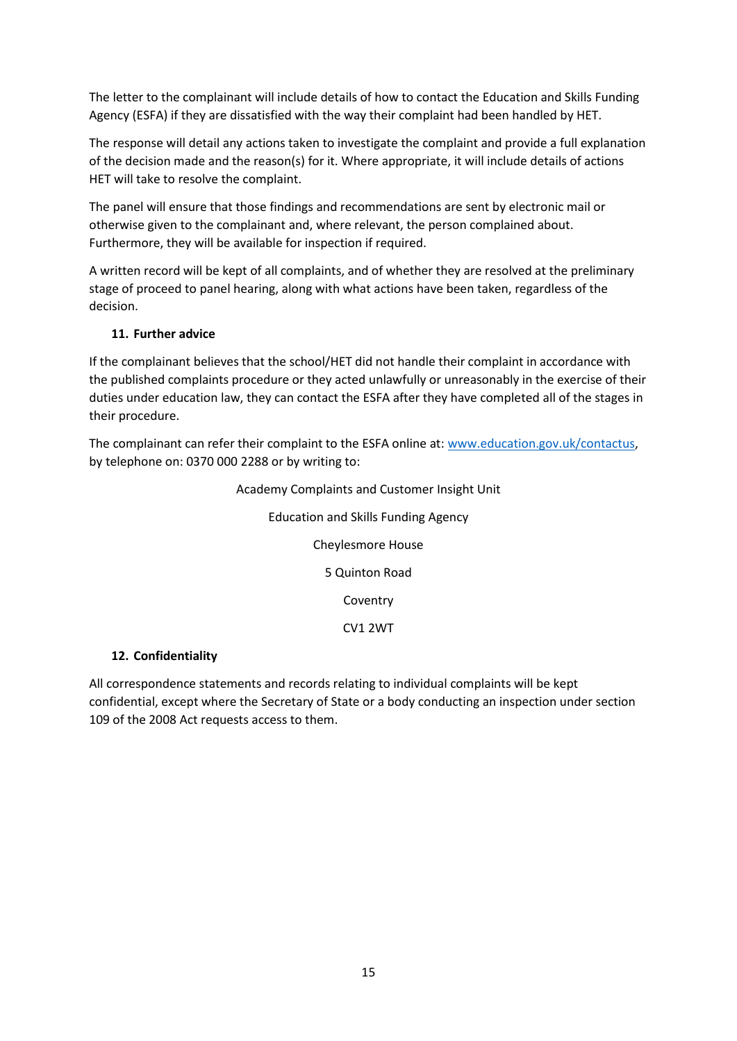The letter to the complainant will include details of how to contact the Education and Skills Funding Agency (ESFA) if they are dissatisfied with the way their complaint had been handled by HET.

The response will detail any actions taken to investigate the complaint and provide a full explanation of the decision made and the reason(s) for it. Where appropriate, it will include details of actions HET will take to resolve the complaint.

The panel will ensure that those findings and recommendations are sent by electronic mail or otherwise given to the complainant and, where relevant, the person complained about. Furthermore, they will be available for inspection if required.

A written record will be kept of all complaints, and of whether they are resolved at the preliminary stage of proceed to panel hearing, along with what actions have been taken, regardless of the decision.

# <span id="page-14-0"></span>**11. Further advice**

If the complainant believes that the school/HET did not handle their complaint in accordance with the published complaints procedure or they acted unlawfully or unreasonably in the exercise of their duties under education law, they can contact the ESFA after they have completed all of the stages in their procedure.

The complainant can refer their complaint to the ESFA online at: [www.education.gov.uk/contactus,](http://www.education.gov.uk/contactus) by telephone on: 0370 000 2288 or by writing to:

> Academy Complaints and Customer Insight Unit Education and Skills Funding Agency Cheylesmore House 5 Quinton Road **Coventry** CV1 2WT

# <span id="page-14-1"></span>**12. Confidentiality**

All correspondence statements and records relating to individual complaints will be kept confidential, except where the Secretary of State or a body conducting an inspection under section 109 of the 2008 Act requests access to them.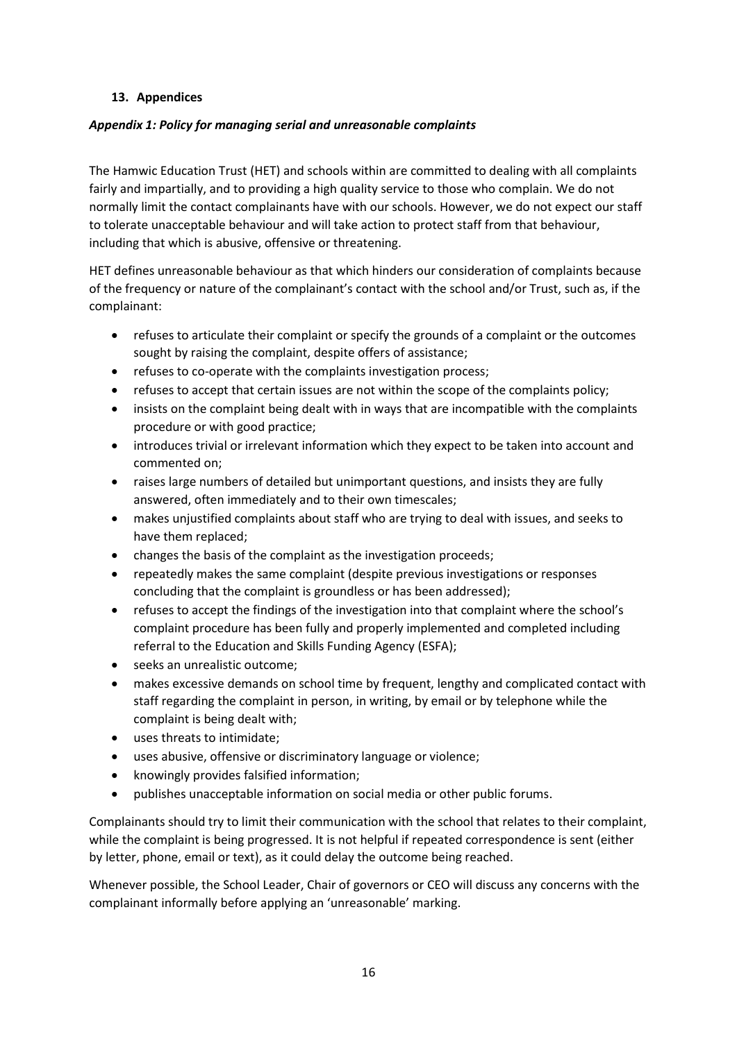# <span id="page-15-0"></span>**13. Appendices**

# <span id="page-15-1"></span>*Appendix 1: Policy for managing serial and unreasonable complaints*

The Hamwic Education Trust (HET) and schools within are committed to dealing with all complaints fairly and impartially, and to providing a high quality service to those who complain. We do not normally limit the contact complainants have with our schools. However, we do not expect our staff to tolerate unacceptable behaviour and will take action to protect staff from that behaviour, including that which is abusive, offensive or threatening.

HET defines unreasonable behaviour as that which hinders our consideration of complaints because of the frequency or nature of the complainant's contact with the school and/or Trust, such as, if the complainant:

- refuses to articulate their complaint or specify the grounds of a complaint or the outcomes sought by raising the complaint, despite offers of assistance;
- refuses to co-operate with the complaints investigation process;
- refuses to accept that certain issues are not within the scope of the complaints policy;
- insists on the complaint being dealt with in ways that are incompatible with the complaints procedure or with good practice;
- introduces trivial or irrelevant information which they expect to be taken into account and commented on;
- raises large numbers of detailed but unimportant questions, and insists they are fully answered, often immediately and to their own timescales;
- makes unjustified complaints about staff who are trying to deal with issues, and seeks to have them replaced;
- changes the basis of the complaint as the investigation proceeds;
- repeatedly makes the same complaint (despite previous investigations or responses concluding that the complaint is groundless or has been addressed);
- refuses to accept the findings of the investigation into that complaint where the school's complaint procedure has been fully and properly implemented and completed including referral to the Education and Skills Funding Agency (ESFA);
- seeks an unrealistic outcome;
- makes excessive demands on school time by frequent, lengthy and complicated contact with staff regarding the complaint in person, in writing, by email or by telephone while the complaint is being dealt with;
- uses threats to intimidate;
- uses abusive, offensive or discriminatory language or violence;
- knowingly provides falsified information;
- publishes unacceptable information on social media or other public forums.

Complainants should try to limit their communication with the school that relates to their complaint, while the complaint is being progressed. It is not helpful if repeated correspondence is sent (either by letter, phone, email or text), as it could delay the outcome being reached.

Whenever possible, the School Leader, Chair of governors or CEO will discuss any concerns with the complainant informally before applying an 'unreasonable' marking.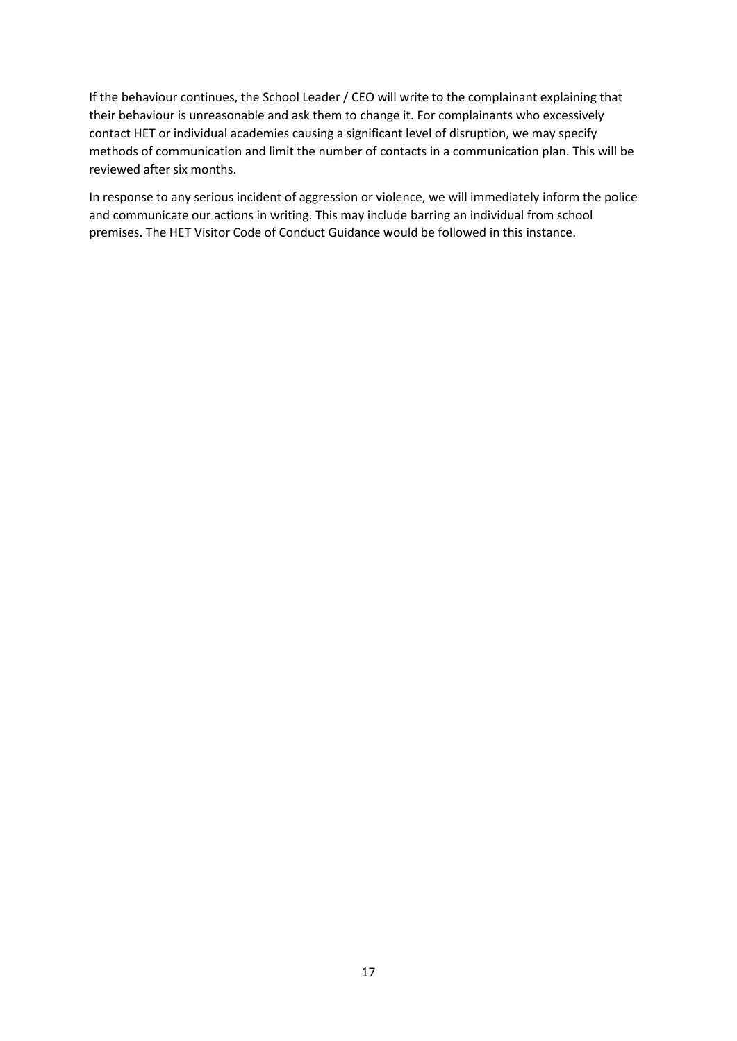If the behaviour continues, the School Leader / CEO will write to the complainant explaining that their behaviour is unreasonable and ask them to change it. For complainants who excessively contact HET or individual academies causing a significant level of disruption, we may specify methods of communication and limit the number of contacts in a communication plan. This will be reviewed after six months.

In response to any serious incident of aggression or violence, we will immediately inform the police and communicate our actions in writing. This may include barring an individual from school premises. The HET Visitor Code of Conduct Guidance would be followed in this instance.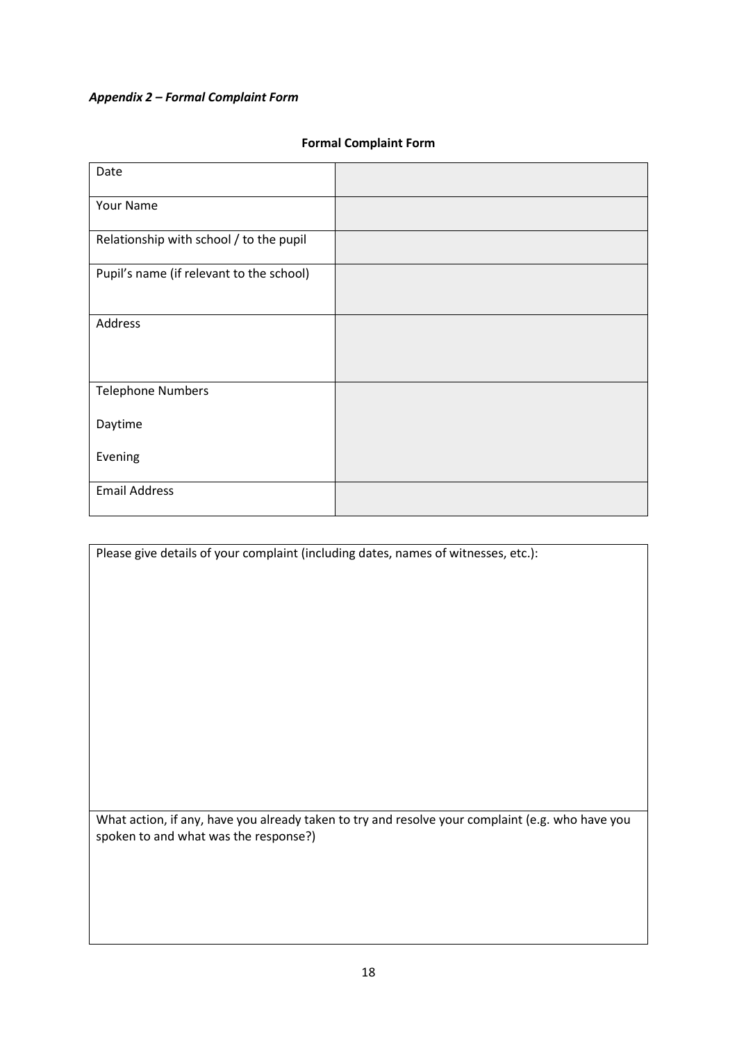# <span id="page-17-0"></span>*Appendix 2 – Formal Complaint Form*

# **Formal Complaint Form**

| Date                                     |  |
|------------------------------------------|--|
| Your Name                                |  |
| Relationship with school / to the pupil  |  |
| Pupil's name (if relevant to the school) |  |
| Address                                  |  |
| <b>Telephone Numbers</b>                 |  |
| Daytime                                  |  |
| Evening                                  |  |
| <b>Email Address</b>                     |  |

Please give details of your complaint (including dates, names of witnesses, etc.):

What action, if any, have you already taken to try and resolve your complaint (e.g. who have you spoken to and what was the response?)